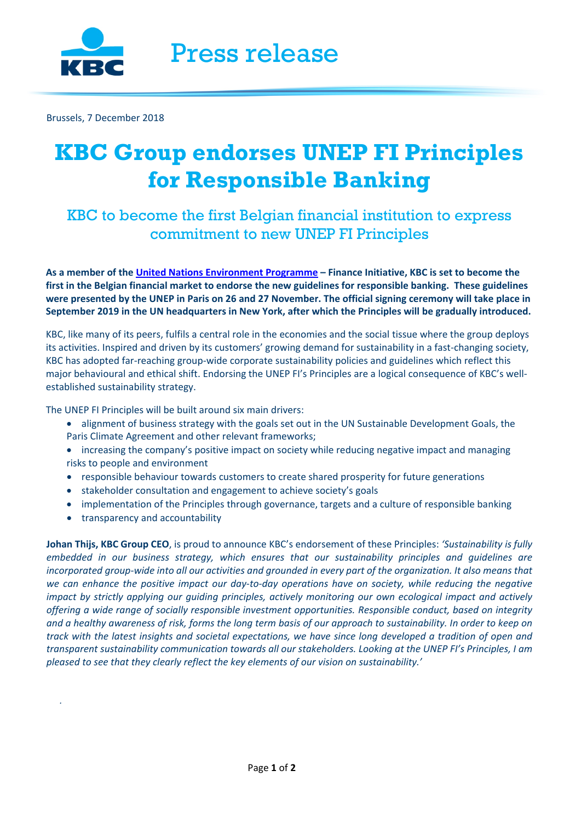

Brussels, 7 December 2018

## **KBC Group endorses UNEP FI Principles for Responsible Banking**

KBC to become the first Belgian financial institution to express commitment to new UNEP FI Principles

**As a member of the [United Nations Environment Programme](http://www.unepfi.org/) – Finance Initiative, KBC is set to become the first in the Belgian financial market to endorse the new guidelines for responsible banking. These guidelines were presented by the UNEP in Paris on 26 and 27 November. The official signing ceremony will take place in September 2019 in the UN headquarters in New York, after which the Principles will be gradually introduced.**

KBC, like many of its peers, fulfils a central role in the economies and the social tissue where the group deploys its activities. Inspired and driven by its customers' growing demand for sustainability in a fast-changing society, KBC has adopted far-reaching group-wide corporate sustainability policies and guidelines which reflect this major behavioural and ethical shift. Endorsing the UNEP FI's Principles are a logical consequence of KBC's wellestablished sustainability strategy.

The UNEP FI Principles will be built around six main drivers:

- alignment of business strategy with the goals set out in the UN Sustainable Development Goals, the Paris Climate Agreement and other relevant frameworks;
- increasing the company's positive impact on society while reducing negative impact and managing risks to people and environment
- responsible behaviour towards customers to create shared prosperity for future generations
- stakeholder consultation and engagement to achieve society's goals
- implementation of the Principles through governance, targets and a culture of responsible banking
- transparency and accountability

*.* 

**Johan Thijs, KBC Group CEO**, is proud to announce KBC's endorsement of these Principles: *'Sustainability is fully embedded in our business strategy, which ensures that our sustainability principles and guidelines are incorporated group-wide into all our activities and grounded in every part of the organization. It also means that we can enhance the positive impact our day-to-day operations have on society, while reducing the negative impact by strictly applying our guiding principles, actively monitoring our own ecological impact and actively offering a wide range of socially responsible investment opportunities. Responsible conduct, based on integrity and a healthy awareness of risk, forms the long term basis of our approach to sustainability. In order to keep on track with the latest insights and societal expectations, we have since long developed a tradition of open and transparent sustainability communication towards all our stakeholders. Looking at the UNEP FI's Principles, I am pleased to see that they clearly reflect the key elements of our vision on sustainability.'*